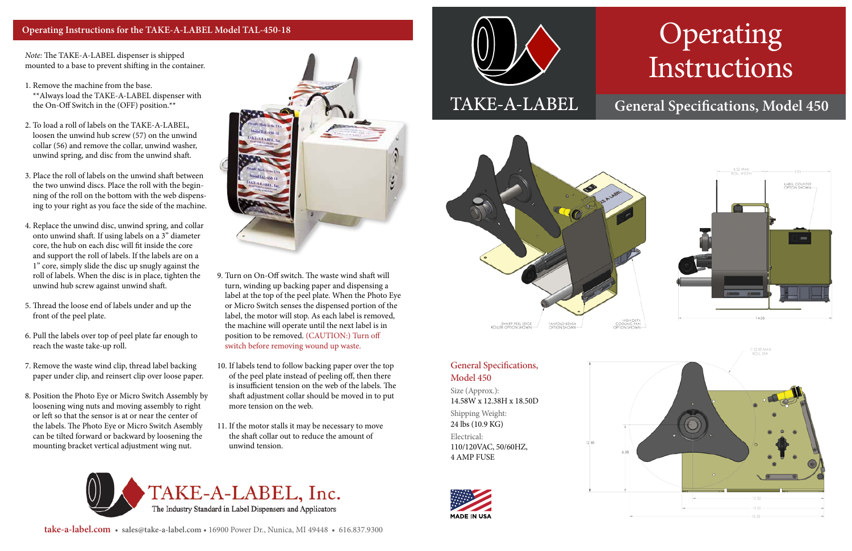# Operating Instructions

## **General Specifications, Model 450**



### General Specifications, Model 450

Size (Approx.): 14.58W x 12.38H x 18.50D Shipping Weight: 24 lbs (10.9 KG) Electrical: 110/120VAC, 50/60HZ, 4 AMP FUSE



*Note:* The TAKE-A-LABEL dispenser is shipped mounted to a base to prevent shifting in the container.

- 1. Remove the machine from the base. \*\*Always load the TAKE-A-LABEL dispenser with the On-Off Switch in the (OFF) position.\*\*
- 2. To load a roll of labels on the TAKE-A-LABEL, loosen the unwind hub screw (57) on the unwind collar (56) and remove the collar, unwind washer, unwind spring, and disc from the unwind shaft.
- 3. Place the roll of labels on the unwind shaft between the two unwind discs. Place the roll with the beginning of the roll on the bottom with the web dispensing to your right as you face the side of the machine.
- 4. Replace the unwind disc, unwind spring, and collar onto unwind shaft. If using labels on a 3" diameter core, the hub on each disc will fit inside the core and support the roll of labels. If the labels are on a 1" core, simply slide the disc up snugly against the roll of labels. When the disc is in place, tighten the unwind hub screw against unwind shaft.
- 5. Thread the loose end of labels under and up the front of the peel plate.
- 6. Pull the labels over top of peel plate far enough to reach the waste take-up roll.
- 7. Remove the waste wind clip, thread label backing paper under clip, and reinsert clip over loose paper.
- 8. Position the Photo Eye or Micro Switch Assembly by loosening wing nuts and moving assembly to right or left so that the sensor is at or near the center of the labels. The Photo Eye or Micro Switch Asembly can be tilted forward or backward by loosening the mounting bracket vertical adjustment wing nut.



- 9. Turn on On-Off switch. The waste wind shaft will turn, winding up backing paper and dispensing a label at the top of the peel plate. When the Photo Eye or Micro Switch senses the dispensed portion of the label, the motor will stop. As each label is removed, the machine will operate until the next label is in position to be removed. (CAUTION:) Turn off switch before removing wound up waste.
- 10. If labels tend to follow backing paper over the top of the peel plate instead of peeling off, then there is insufficient tension on the web of the labels. The shaft adjustment collar should be moved in to put more tension on the web.
- 11. If the motor stalls it may be necessary to move the shaft collar out to reduce the amount of unwind tension.

## TAKE-A-LABEL, Inc. The Industry Standard in Label Dispensers and Applicators





### **Operating Instructions for the TAKE-A-LABEL Model TAL-450-18**